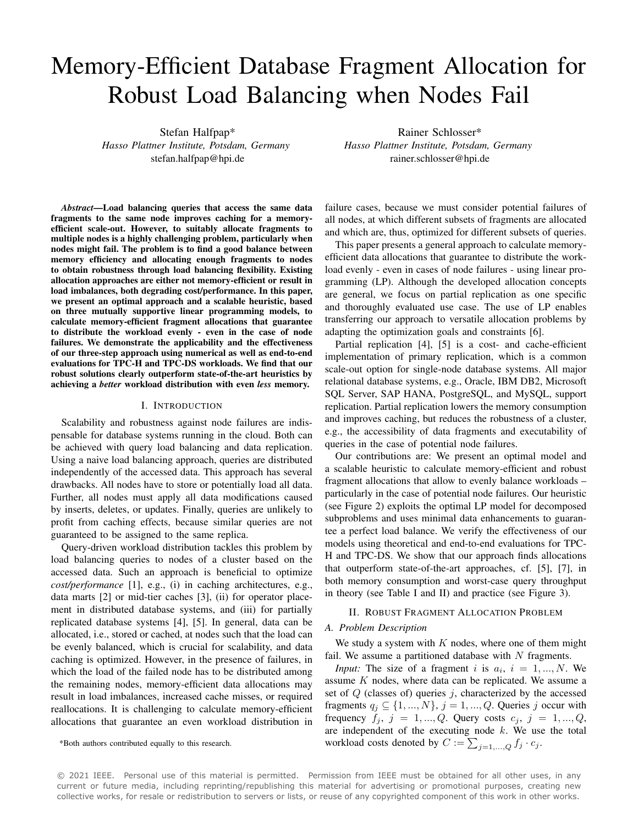# Memory-Efficient Database Fragment Allocation for Robust Load Balancing when Nodes Fail

Stefan Halfpap\* *Hasso Plattner Institute, Potsdam, Germany* stefan.halfpap@hpi.de

Rainer Schlosser\* *Hasso Plattner Institute, Potsdam, Germany* rainer.schlosser@hpi.de

*Abstract*—Load balancing queries that access the same data fragments to the same node improves caching for a memoryefficient scale-out. However, to suitably allocate fragments to multiple nodes is a highly challenging problem, particularly when nodes might fail. The problem is to find a good balance between memory efficiency and allocating enough fragments to nodes to obtain robustness through load balancing flexibility. Existing allocation approaches are either not memory-efficient or result in load imbalances, both degrading cost/performance. In this paper, we present an optimal approach and a scalable heuristic, based on three mutually supportive linear programming models, to calculate memory-efficient fragment allocations that guarantee to distribute the workload evenly - even in the case of node failures. We demonstrate the applicability and the effectiveness of our three-step approach using numerical as well as end-to-end evaluations for TPC-H and TPC-DS workloads. We find that our robust solutions clearly outperform state-of-the-art heuristics by achieving a *better* workload distribution with even *less* memory.

## I. INTRODUCTION

Scalability and robustness against node failures are indispensable for database systems running in the cloud. Both can be achieved with query load balancing and data replication. Using a naive load balancing approach, queries are distributed independently of the accessed data. This approach has several drawbacks. All nodes have to store or potentially load all data. Further, all nodes must apply all data modifications caused by inserts, deletes, or updates. Finally, queries are unlikely to profit from caching effects, because similar queries are not guaranteed to be assigned to the same replica.

Query-driven workload distribution tackles this problem by load balancing queries to nodes of a cluster based on the accessed data. Such an approach is beneficial to optimize *cost/performance* [1], e.g., (i) in caching architectures, e.g., data marts [2] or mid-tier caches [3], (ii) for operator placement in distributed database systems, and (iii) for partially replicated database systems [4], [5]. In general, data can be allocated, i.e., stored or cached, at nodes such that the load can be evenly balanced, which is crucial for scalability, and data caching is optimized. However, in the presence of failures, in which the load of the failed node has to be distributed among the remaining nodes, memory-efficient data allocations may result in load imbalances, increased cache misses, or required reallocations. It is challenging to calculate memory-efficient allocations that guarantee an even workload distribution in

\*Both authors contributed equally to this research.

failure cases, because we must consider potential failures of all nodes, at which different subsets of fragments are allocated and which are, thus, optimized for different subsets of queries.

This paper presents a general approach to calculate memoryefficient data allocations that guarantee to distribute the workload evenly - even in cases of node failures - using linear programming (LP). Although the developed allocation concepts are general, we focus on partial replication as one specific and thoroughly evaluated use case. The use of LP enables transferring our approach to versatile allocation problems by adapting the optimization goals and constraints [6].

Partial replication [4], [5] is a cost- and cache-efficient implementation of primary replication, which is a common scale-out option for single-node database systems. All major relational database systems, e.g., Oracle, IBM DB2, Microsoft SQL Server, SAP HANA, PostgreSQL, and MySQL, support replication. Partial replication lowers the memory consumption and improves caching, but reduces the robustness of a cluster, e.g., the accessibility of data fragments and executability of queries in the case of potential node failures.

Our contributions are: We present an optimal model and a scalable heuristic to calculate memory-efficient and robust fragment allocations that allow to evenly balance workloads – particularly in the case of potential node failures. Our heuristic (see Figure 2) exploits the optimal LP model for decomposed subproblems and uses minimal data enhancements to guarantee a perfect load balance. We verify the effectiveness of our models using theoretical and end-to-end evaluations for TPC-H and TPC-DS. We show that our approach finds allocations that outperform state-of-the-art approaches, cf. [5], [7], in both memory consumption and worst-case query throughput in theory (see Table I and II) and practice (see Figure 3).

# II. ROBUST FRAGMENT ALLOCATION PROBLEM

#### *A. Problem Description*

We study a system with  $K$  nodes, where one of them might fail. We assume a partitioned database with  $N$  fragments.

*Input:* The size of a fragment i is  $a_i$ ,  $i = 1, ..., N$ . We assume  $K$  nodes, where data can be replicated. We assume a set of  $Q$  (classes of) queries  $j$ , characterized by the accessed fragments  $q_j \subseteq \{1, ..., N\}, j = 1, ..., Q$ . Queries j occur with frequency  $f_j$ ,  $j = 1, ..., Q$ . Query costs  $c_j$ ,  $j = 1, ..., Q$ , are independent of the executing node  $k$ . We use the total workload costs denoted by  $C := \sum_{j=1,...,Q} f_j \cdot c_j$ .

© 2021 IEEE. Personal use of this material is permitted. Permission from IEEE must be obtained for all other uses, in any current or future media, including reprinting/republishing this material for advertising or promotional purposes, creating new collective works, for resale or redistribution to servers or lists, or reuse of any copyrighted component of this work in other works.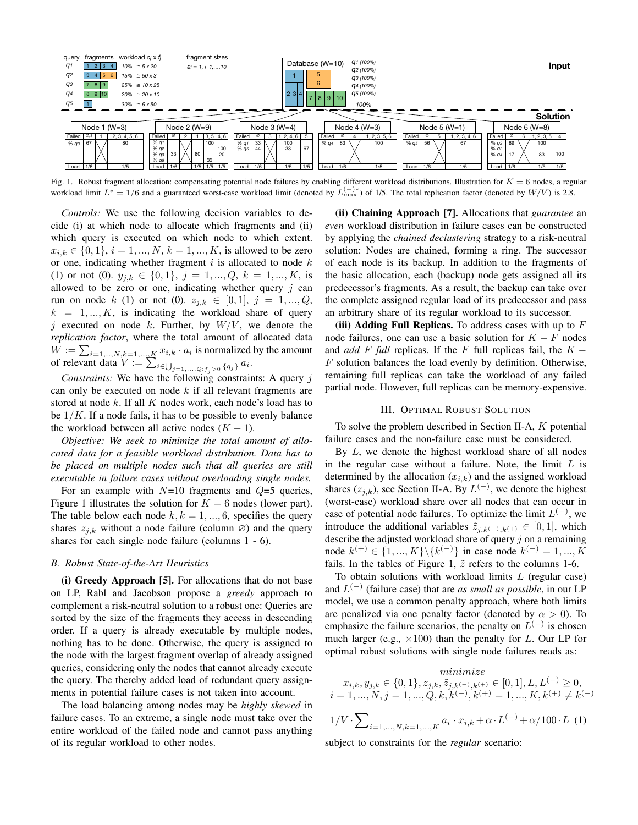

Fig. 1. Robust fragment allocation: compensating potential node failures by enabling different workload distributions. Illustration for  $K = 6$  nodes, a regular workload limit  $L^* = 1/6$  and a guaranteed worst-case workload limit (denoted by  $L_{\text{max}}^{(-)*}$ ) of 1/5. The total replication factor (denoted by  $W/V$ ) is 2.8.

*Controls:* We use the following decision variables to decide (i) at which node to allocate which fragments and (ii) which query is executed on which node to which extent.  $x_{i,k} \in \{0,1\}, i = 1, ..., N, k = 1, ..., K$ , is allowed to be zero or one, indicating whether fragment  $i$  is allocated to node  $k$ (1) or not (0).  $y_{j,k} \in \{0,1\}$ ,  $j = 1, ..., Q$ ,  $k = 1, ..., K$ , is allowed to be zero or one, indicating whether query  $j$  can run on node k (1) or not (0).  $z_{j,k} \in [0,1], j = 1, ..., Q$ ,  $k = 1, ..., K$ , is indicating the workload share of query j executed on node k. Further, by  $W/V$ , we denote the *replication factor*, where the total amount of allocated data  $W := \sum_{i=1,\dots,N, k=1,\dots,K} x_{i,k} \cdot a_i$  is normalized by the amount of relevant data  $V := \sum_{i \in \bigcup_{j=1,...,Q: f_j > 0} \{q_j\}} a_i$ .

*Constraints:* We have the following constraints: A query j can only be executed on node  $k$  if all relevant fragments are stored at node  $k$ . If all  $K$  nodes work, each node's load has to be  $1/K$ . If a node fails, it has to be possible to evenly balance the workload between all active nodes  $(K - 1)$ .

*Objective: We seek to minimize the total amount of allocated data for a feasible workload distribution. Data has to be placed on multiple nodes such that all queries are still executable in failure cases without overloading single nodes.*

For an example with  $N=10$  fragments and  $Q=5$  queries, Figure 1 illustrates the solution for  $K = 6$  nodes (lower part). The table below each node  $k, k = 1, ..., 6$ , specifies the query shares  $z_{i,k}$  without a node failure (column  $\varnothing$ ) and the query shares for each single node failure (columns 1 - 6).

## *B. Robust State-of-the-Art Heuristics*

(i) Greedy Approach [5]. For allocations that do not base on LP, Rabl and Jacobson propose a *greedy* approach to complement a risk-neutral solution to a robust one: Queries are sorted by the size of the fragments they access in descending order. If a query is already executable by multiple nodes, nothing has to be done. Otherwise, the query is assigned to the node with the largest fragment overlap of already assigned queries, considering only the nodes that cannot already execute the query. The thereby added load of redundant query assignments in potential failure cases is not taken into account.

The load balancing among nodes may be *highly skewed* in failure cases. To an extreme, a single node must take over the entire workload of the failed node and cannot pass anything of its regular workload to other nodes.

(ii) Chaining Approach [7]. Allocations that *guarantee* an *even* workload distribution in failure cases can be constructed by applying the *chained declustering* strategy to a risk-neutral solution: Nodes are chained, forming a ring. The successor of each node is its backup. In addition to the fragments of the basic allocation, each (backup) node gets assigned all its predecessor's fragments. As a result, the backup can take over the complete assigned regular load of its predecessor and pass an arbitrary share of its regular workload to its successor.

(iii) Adding Full Replicas. To address cases with up to  $F$ node failures, one can use a basic solution for  $K - F$  nodes and *add* F full replicas. If the F full replicas fail, the  $K -$ F solution balances the load evenly by definition. Otherwise, remaining full replicas can take the workload of any failed partial node. However, full replicas can be memory-expensive.

#### III. OPTIMAL ROBUST SOLUTION

To solve the problem described in Section II-A, K potential failure cases and the non-failure case must be considered.

By  $L$ , we denote the highest workload share of all nodes in the regular case without a failure. Note, the limit  $L$  is determined by the allocation  $(x_{i,k})$  and the assigned workload shares  $(z_{j,k})$ , see Section II-A. By  $L^{(-)}$ , we denote the highest (worst-case) workload share over all nodes that can occur in case of potential node failures. To optimize the limit  $L^{(-)}$ , we introduce the additional variables  $\tilde{z}_{i,k^{(-)},k^{(+)}} \in [0,1]$ , which describe the adjusted workload share of query  $j$  on a remaining node  $k^{(+)} \in \{1, ..., K\} \backslash \{k^{(-)}\}$  in case node  $k^{(-)} = 1, ..., K$ fails. In the tables of Figure 1,  $\tilde{z}$  refers to the columns 1-6.

To obtain solutions with workload limits  $L$  (regular case) and  $L^{(-)}$  (failure case) that are *as small as possible*, in our LP model, we use a common penalty approach, where both limits are penalized via one penalty factor (denoted by  $\alpha > 0$ ). To emphasize the failure scenarios, the penalty on  $L^{(-)}$  is chosen much larger (e.g.,  $\times$ 100) than the penalty for L. Our LP for optimal robust solutions with single node failures reads as:

$$
\begin{array}{c}\n\text{minimize} \\
x_{i,k}, y_{j,k} \in \{0, 1\}, z_{j,k}, \tilde{z}_{j,k^{(-)},k^{(+)}} \in [0, 1], L, L^{(-)} \ge 0, \\
i = 1, \dots, N, j = 1, \dots, Q, k, k^{(-)}, k^{(+)} = 1, \dots, K, k^{(+)} \ne k^{(-)} \\
1/V \cdot \sum_{i=1, \dots, N, k=1, \dots, K} a_i \cdot x_{i,k} + \alpha \cdot L^{(-)} + \alpha/100 \cdot L \quad (1)\n\end{array}
$$

subject to constraints for the *regular* scenario: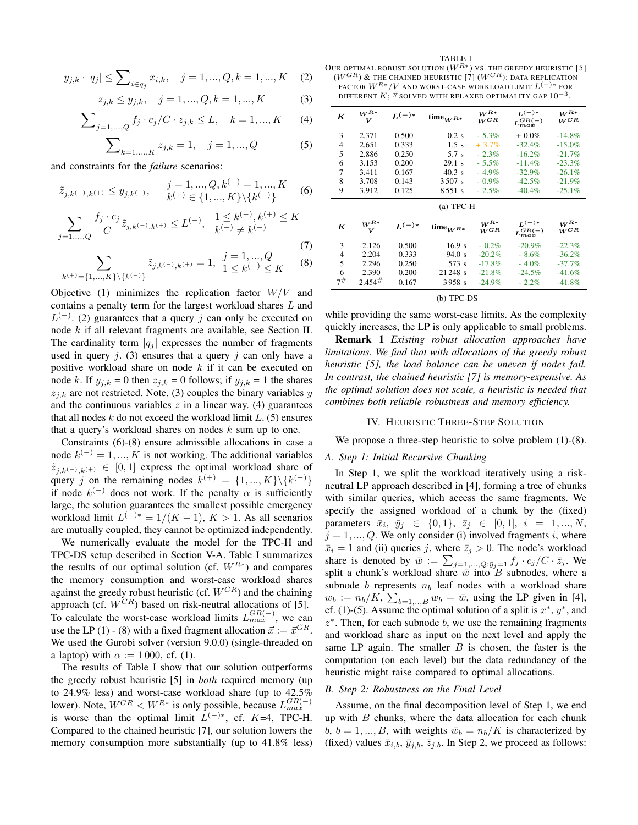$$
y_{j,k} \cdot |q_j| \le \sum_{i \in q_j} x_{i,k}, \quad j = 1, ..., Q, k = 1, ..., K
$$
 (2)

$$
z_{j,k} \le y_{j,k}, \quad j = 1, ..., Q, k = 1, ..., K
$$
 (3)

$$
\sum_{j=1,...,Q} f_j \cdot c_j / C \cdot z_{j,k} \le L, \quad k = 1,...,K \qquad (4)
$$

$$
\sum_{k=1,\dots,K} z_{j,k} = 1, \quad j = 1,\dots,Q \tag{5}
$$

and constraints for the *failure* scenarios:

$$
\tilde{z}_{j,k^{(-)},k^{(+)}} \le y_{j,k^{(+)}}, \qquad j = 1, ..., Q, k^{(-)} = 1, ..., K
$$
\n
$$
k^{(+)} \in \{1, ..., K\} \setminus \{k^{(-)}\}
$$
\n(6)

$$
\sum_{j=1,\dots,Q} \frac{f_j \cdot c_j}{C} \tilde{z}_{j,k^{(-)},k^{(+)}} \le L^{(-)}, \quad \frac{1 \le k^{(-)}, k^{(+)} \le K}{k^{(+)} \ne k^{(-)}}
$$
\n(7)

$$
\sum_{k^{(+)}=\{1,\ldots,K\}\backslash\{k^{(-)}\}} \tilde{z}_{j,k^{(-)},k^{(+)}} = 1, \quad \begin{matrix} j=1,...,Q\\ 1\leq k^{(-)}\leq K \end{matrix} \tag{8}
$$

Objective (1) minimizes the replication factor  $W/V$  and contains a penalty term for the largest workload shares L and  $L^{(-)}$ . (2) guarantees that a query j can only be executed on node k if all relevant fragments are available, see Section II. The cardinality term  $|q_i|$  expresses the number of fragments used in query  $j$ . (3) ensures that a query  $j$  can only have a positive workload share on node  $k$  if it can be executed on node k. If  $y_{j,k} = 0$  then  $z_{j,k} = 0$  follows; if  $y_{j,k} = 1$  the shares  $z_{i,k}$  are not restricted. Note, (3) couples the binary variables y and the continuous variables  $z$  in a linear way. (4) guarantees that all nodes  $k$  do not exceed the workload limit  $L$ . (5) ensures that a query's workload shares on nodes  $k$  sum up to one.

Constraints (6)-(8) ensure admissible allocations in case a node  $k^{(-)} = 1, ..., K$  is not working. The additional variables  $\tilde{z}_{i,k}(\)$ ,  $k(\tau) \in [0,1]$  express the optimal workload share of query j on the remaining nodes  $k^{(+)} = \{1, ..., K\} \backslash \{k^{(-)}\}$ if node  $k^{(-)}$  does not work. If the penalty  $\alpha$  is sufficiently large, the solution guarantees the smallest possible emergency workload limit  $L^{(-)*} = 1/(K - 1)$ ,  $K > 1$ . As all scenarios are mutually coupled, they cannot be optimized independently.

We numerically evaluate the model for the TPC-H and TPC-DS setup described in Section V-A. Table I summarizes the results of our optimal solution (cf.  $W^{R*}$ ) and compares the memory consumption and worst-case workload shares against the greedy robust heuristic (cf.  $W^{GR}$ ) and the chaining approach (cf.  $W^{CR}$ ) based on risk-neutral allocations of [5]. To calculate the worst-case workload limits  $L_{max}^{GR(-)}$ , we can use the LP (1) - (8) with a fixed fragment allocation  $\vec{x} := \vec{x}^{GR}$ . We used the Gurobi solver (version 9.0.0) (single-threaded on a laptop) with  $\alpha := 1000$ , cf. (1).

The results of Table I show that our solution outperforms the greedy robust heuristic [5] in *both* required memory (up to 24.9% less) and worst-case workload share (up to 42.5% lower). Note,  $W^{GR} < W^{R*}$  is only possible, because  $L_{max}^{GR(-)}$ is worse than the optimal limit  $L^{(-)*}$ , cf. K=4, TPC-H. Compared to the chained heuristic [7], our solution lowers the memory consumption more substantially (up to 41.8% less)

#### TABLE I

OUR OPTIMAL ROBUST SOLUTION  $(W^{R*})$  vs. the greedy heuristic [5]  $(W^{GR})$   $\&$  the chained heuristic [7]  $(W^{CR})$ : data replication FACTOR  $W^{R*}/V$  and worst-case workload limit  $L^{(-)*}$  for DIFFERENT  $K; \#$  solved with relaxed optimality gap  $10^{-3}.$ 

| K         | $W^{R*}$<br>V | $L^{(-)*}$ | time $_{W^{R*}}$ | $W^{R*}$<br>$\overline{W^{GR}}$ | $L^{(-)*}$<br>$L_{max}^{GR(-)}$ | $W^{R*}$<br>$\overline{W^{CR}}$ |  |
|-----------|---------------|------------|------------------|---------------------------------|---------------------------------|---------------------------------|--|
| 3         | 2.371         | 0.500      | $0.2$ s          | $-5.3\%$                        | $+0.0\%$                        | $-14.8\%$                       |  |
| 4         | 2.651         | 0.333      | 1.5 s            | $+3.7\%$                        | $-32.4%$                        | $-15.0\%$                       |  |
| 5         | 2.886         | 0.250      | 5.7 s            | $-2.3\%$                        | $-16.2%$                        | $-21.7%$                        |  |
| 6         | 3.153         | 0.200      | 29.1 s           | $-5.5\%$                        | $-11.4%$                        | $-23.3%$                        |  |
| 7         | 3.411         | 0.167      | $40.3 \text{ s}$ | $-4.9\%$                        | $-32.9%$                        | $-26.1%$                        |  |
| 8         | 3.708         | 0.143      | 3.507 s          | $-0.9\%$                        | $-42.5%$                        | $-21.9%$                        |  |
| 9         | 3.912         | 0.125      | 8551 s           | $-2.5%$                         | $-40.4%$                        | $-25.1%$                        |  |
| (a) TPC-H |               |            |                  |                                 |                                 |                                 |  |
|           |               |            |                  |                                 |                                 |                                 |  |

| K  | $W^{R*}$ | $L^{(-)*}$ | time $_{W^{R*}}$ | $W^{R*}$<br>$\overline{W^{GR}}$ | $r(-)*$<br>$-GR(-)$<br>$L_{max}$ | $W^{R*}$<br>$\overline{W^{CR}}$ |
|----|----------|------------|------------------|---------------------------------|----------------------------------|---------------------------------|
| 3  | 2.126    | 0.500      | 16.9 s           | $-0.2\%$                        | $-20.9\%$                        | $-22.3%$                        |
| 4  | 2.204    | 0.333      | 94.0 s           | $-20.2%$                        | $-8.6\%$                         | $-36.2\%$                       |
| 5  | 2.296    | 0.250      | 573 s            | $-17.8%$                        | $-4.0\%$                         | $-37.7\%$                       |
| 6  | 2.390    | 0.200      | 21 248 s         | $-21.8\%$                       | $-24.5%$                         | $-41.6%$                        |
| 7# | 2.454#   | 0.167      | 3958 s           | $-24.9\%$                       | $-2.2\%$                         | $-41.8%$                        |

#### (b) TPC-DS

while providing the same worst-case limits. As the complexity quickly increases, the LP is only applicable to small problems.

Remark 1 *Existing robust allocation approaches have limitations. We find that with allocations of the greedy robust heuristic [5], the load balance can be uneven if nodes fail. In contrast, the chained heuristic [7] is memory-expensive. As the optimal solution does not scale, a heuristic is needed that combines both reliable robustness and memory efficiency.*

#### IV. HEURISTIC THREE-STEP SOLUTION

We propose a three-step heuristic to solve problem (1)-(8).

# *A. Step 1: Initial Recursive Chunking*

In Step 1, we split the workload iteratively using a riskneutral LP approach described in [4], forming a tree of chunks with similar queries, which access the same fragments. We specify the assigned workload of a chunk by the (fixed) parameters  $\bar{x}_i$ ,  $\bar{y}_j \in \{0, 1\}$ ,  $\bar{z}_j \in [0, 1]$ ,  $i = 1, ..., N$ ,  $j = 1, \dots, Q$ . We only consider (i) involved fragments i, where  $\bar{x}_i = 1$  and (ii) queries j, where  $\bar{z}_j > 0$ . The node's workload share is denoted by  $\bar{w} := \sum_{j=1,\dots,Q: \bar{y}_j=1} f_j \cdot c_j/C \cdot \bar{z}_j$ . We split a chunk's workload share  $\overline{\overline{w}}$  into B subnodes, where a subnode b represents  $n_b$  leaf nodes with a workload share  $w_b := n_b/K$ ,  $\sum_{b=1,\dots,B} w_b = \bar{w}$ , using the LP given in [4], cf. (1)-(5). Assume the optimal solution of a split is  $x^*$ ,  $y^*$ , and  $z^*$ . Then, for each subnode  $b$ , we use the remaining fragments and workload share as input on the next level and apply the same LP again. The smaller  $B$  is chosen, the faster is the computation (on each level) but the data redundancy of the heuristic might raise compared to optimal allocations.

#### *B. Step 2: Robustness on the Final Level*

Assume, on the final decomposition level of Step 1, we end up with  $B$  chunks, where the data allocation for each chunk  $b, b = 1, ..., B$ , with weights  $\bar{w}_b = n_b/K$  is characterized by (fixed) values  $\bar{x}_{i,b}$ ,  $\bar{y}_{j,b}$ ,  $\bar{z}_{j,b}$ . In Step 2, we proceed as follows: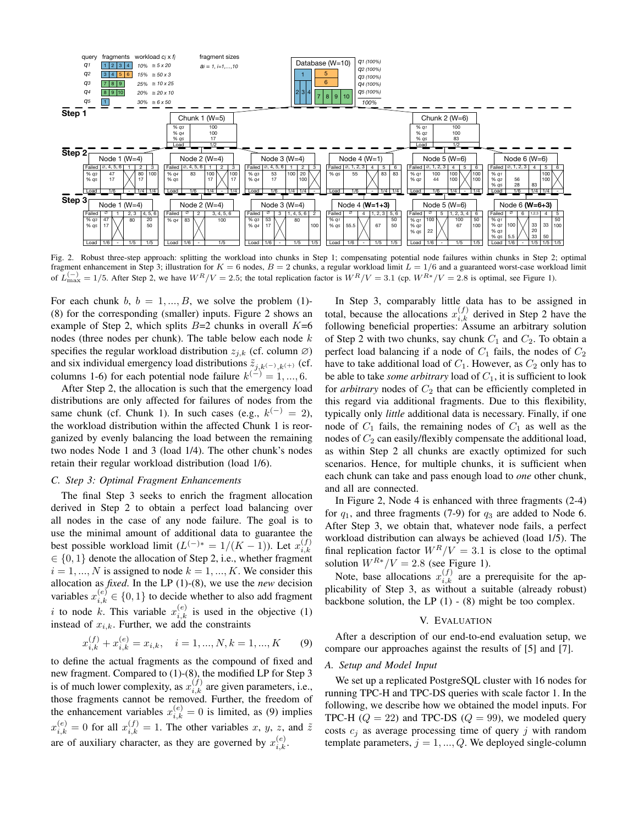

Fig. 2. Robust three-step approach: splitting the workload into chunks in Step 1; compensating potential node failures within chunks in Step 2; optimal fragment enhancement in Step 3; illustration for  $K = 6$  nodes,  $B = 2$  chunks, a regular workload limit  $L = 1/6$  and a guaranteed worst-case workload limit of  $L_{\text{max}}^{(-)} = 1/5$ . After Step 2, we have  $W^R/V = 2.5$ ; the total replication factor is  $W^R/V = 3.1$  (cp.  $W^{R*}/V = 2.8$  is optimal, see Figure 1).

For each chunk b,  $b = 1, ..., B$ , we solve the problem (1)-(8) for the corresponding (smaller) inputs. Figure 2 shows an example of Step 2, which splits  $B=2$  chunks in overall  $K=6$ nodes (three nodes per chunk). The table below each node  $k$ specifies the regular workload distribution  $z_{i,k}$  (cf. column  $\varnothing$ ) and six individual emergency load distributions  $\tilde{z}_{i,k}$ (-), $k(x)$  (cf. columns 1-6) for each potential node failure  $k^{(-)} = 1, ..., 6$ .

After Step 2, the allocation is such that the emergency load distributions are only affected for failures of nodes from the same chunk (cf. Chunk 1). In such cases (e.g.,  $k^{(-)} = 2$ ), the workload distribution within the affected Chunk 1 is reorganized by evenly balancing the load between the remaining two nodes Node 1 and 3 (load 1/4). The other chunk's nodes retain their regular workload distribution (load 1/6).

# *C. Step 3: Optimal Fragment Enhancements*

The final Step 3 seeks to enrich the fragment allocation derived in Step 2 to obtain a perfect load balancing over all nodes in the case of any node failure. The goal is to use the minimal amount of additional data to guarantee the best possible workload limit  $(L^{(-)*} = 1/(K - 1))$ . Let  $x_{i,k}^{(f)}$  $_{i,k}$  $\in \{0, 1\}$  denote the allocation of Step 2, i.e., whether fragment  $i = 1, ..., N$  is assigned to node  $k = 1, ..., K$ . We consider this allocation as *fixed*. In the LP (1)-(8), we use the *new* decision variables  $x_{i,k}^{(e)} \in \{0,1\}$  to decide whether to also add fragment i to node k. This variable  $x_{i,k}^{(e)}$  is used in the objective (1) instead of  $x_{i,k}$ . Further, we add the constraints

$$
x_{i,k}^{(f)} + x_{i,k}^{(e)} = x_{i,k}, \quad i = 1, ..., N, k = 1, ..., K
$$
 (9)

to define the actual fragments as the compound of fixed and new fragment. Compared to (1)-(8), the modified LP for Step 3 is of much lower complexity, as  $x_{i,k}^{(f)}$  are given parameters, i.e., those fragments cannot be removed. Further, the freedom of the enhancement variables  $x_{i,k}^{(e)} = 0$  is limited, as (9) implies  $x_{i,k}^{(e)} = 0$  for all  $x_{i,k}^{(f)} = 1$ . The other variables x, y, z, and  $\tilde{z}$ are of auxiliary character, as they are governed by  $x_{i,k}^{(e)}$ .

In Step 3, comparably little data has to be assigned in total, because the allocations  $x_{i,k}^{(f)}$  derived in Step 2 have the following beneficial properties: Assume an arbitrary solution of Step 2 with two chunks, say chunk  $C_1$  and  $C_2$ . To obtain a perfect load balancing if a node of  $C_1$  fails, the nodes of  $C_2$ have to take additional load of  $C_1$ . However, as  $C_2$  only has to be able to take *some arbitrary* load of  $C_1$ , it is sufficient to look for *arbitrary* nodes of  $C_2$  that can be efficiently completed in this regard via additional fragments. Due to this flexibility, typically only *little* additional data is necessary. Finally, if one node of  $C_1$  fails, the remaining nodes of  $C_1$  as well as the nodes of  $C_2$  can easily/flexibly compensate the additional load, as within Step 2 all chunks are exactly optimized for such scenarios. Hence, for multiple chunks, it is sufficient when each chunk can take and pass enough load to *one* other chunk, and all are connected.

In Figure 2, Node 4 is enhanced with three fragments (2-4) for  $q_1$ , and three fragments (7-9) for  $q_3$  are added to Node 6. After Step 3, we obtain that, whatever node fails, a perfect workload distribution can always be achieved (load 1/5). The final replication factor  $W^R/V = 3.1$  is close to the optimal solution  $W^{R*}/V = 2.8$  (see Figure 1).

Note, base allocations  $x_{i,k}^{(f)}$  are a prerequisite for the applicability of Step 3, as without a suitable (already robust) backbone solution, the LP  $(1)$  -  $(8)$  might be too complex.

#### V. EVALUATION

After a description of our end-to-end evaluation setup, we compare our approaches against the results of [5] and [7].

## *A. Setup and Model Input*

We set up a replicated PostgreSQL cluster with 16 nodes for running TPC-H and TPC-DS queries with scale factor 1. In the following, we describe how we obtained the model inputs. For TPC-H  $(Q = 22)$  and TPC-DS  $(Q = 99)$ , we modeled query costs  $c_i$  as average processing time of query j with random template parameters,  $j = 1, ..., Q$ . We deployed single-column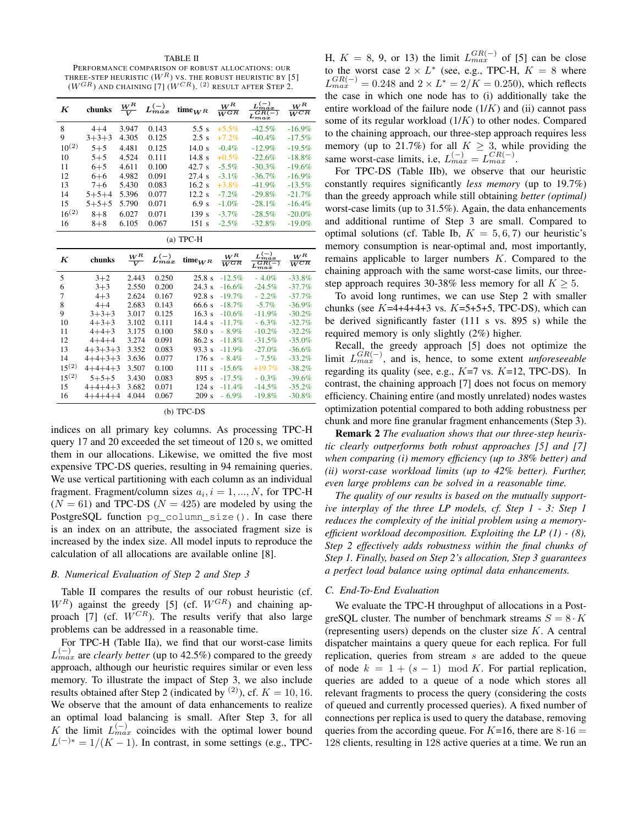TABLE II PERFORMANCE COMPARISON OF ROBUST ALLOCATIONS: OUR THREE-STEP HEURISTIC  $(W^R)$  vs. The robust heuristic by [5]  $(W^{GR})$  and chaining [7]  $(W^{CR})$ .  $^{(2)}$  result after Step 2.

| $\boldsymbol{K}$ | chunks          | $\frac{W^R}{V}$                  | $L_{max}^{(-)}$ | time $_{W^R}$     | $W^R$<br>$\overline{W}^{GR}$ | $L_{max}^{(-)}$<br>$L_{max}^{GR(-)}$    | $W^R$<br>$\overline{W^{CR}}$ |  |
|------------------|-----------------|----------------------------------|-----------------|-------------------|------------------------------|-----------------------------------------|------------------------------|--|
| 8                | $4 + 4$         | 3.947                            | 0.143           | 5.5 s             | $+5.5%$                      | $-42.5%$                                | $-16.9%$                     |  |
| 9                | $3+3+3$         | 4.305                            | 0.125           | 2.5s              | $+7.2%$                      | $-40.4%$                                | $-17.5%$                     |  |
| $10^{(2)}$       | $5 + 5$         | 4.481                            | 0.125           | 14.0 s            | $-0.4%$                      | $-12.9%$                                | $-19.5%$                     |  |
| 10               | $5 + 5$         | 4.524                            | 0.111           | 14.8 <sub>s</sub> | $+0.5\%$                     | $-22.6%$                                | $-18.8%$                     |  |
| 11               | $6 + 5$         | 4.611                            | 0.100           | 42.7 s            | $-5.5%$                      | $-30.3%$                                | $-19.6%$                     |  |
| 12               | $6 + 6$         | 4.982                            | 0.091           | 27.4 s            | $-3.1%$                      | $-36.7%$                                | $-16.9%$                     |  |
| 13               | $7 + 6$         | 5.430                            | 0.083           | 16.2s             | $+3.8%$                      | $-41.9%$                                | $-13.5%$                     |  |
| 14               | $5 + 5 + 4$     | 5.396                            | 0.077           | $12.2$ s          | $-7.2%$                      | $-29.8%$                                | $-21.7%$                     |  |
| 15               | $5 + 5 + 5$     | 5.790                            | 0.071           | 6.9 <sub>s</sub>  | $-1.0%$                      | $-28.1%$                                | $-16.4%$                     |  |
| $16^{(2)}$       | $8 + 8$         | 6.027                            | 0.071           | 139s              | $-3.7%$                      | $-28.5%$                                | $-20.0%$                     |  |
| 16               | $8 + 8$         | 6.105                            | 0.067           | 151s              | $-2.5%$                      | $-32.8%$                                | $-19.0%$                     |  |
| $(a)$ TPC-H      |                 |                                  |                 |                   |                              |                                         |                              |  |
| K                | chunks          | $W^R$<br>$\overline{\mathbf{v}}$ | $L_{max}^{(-)}$ | time $_{W^R}$     | $W^R$<br>$\overline{W^{GR}}$ | $\frac{L_{max}^{(-)}}{L_{max}^{GR(-)}}$ | $W^R$<br>$\overline{W^{CR}}$ |  |
| 5                | $3 + 2$         | 2.443                            | 0.250           | 25.8 s            | $-12.5%$                     | $-4.0\%$                                | $-33.8%$                     |  |
| 6                | $3 + 3$         | 2.550                            | 0.200           | 24.3 s            | $-16.6%$                     | $-24.5%$                                | $-37.7%$                     |  |
| 7                | $4 + 3$         | 2.624                            | 0.167           | 92.8s             | $-19.7%$                     | $-2.2\%$                                | $-37.7%$                     |  |
| 8                | $4 + 4$         | 2.683                            | 0.143           | 66.6 s            | $-18.7%$                     | $-5.7%$                                 | $-36.9%$                     |  |
| 9                | $3+3+3$         | 3.017                            | 0.125           | 16.3s             | $-10.6%$                     | $-11.9%$                                | $-30.2%$                     |  |
| 10               | $4 + 3 + 3$     | 3.102                            | 0.111           | 14.4s             | $-11.7%$                     | $-6.3%$                                 | $-32.7%$                     |  |
| 11               | $4 + 4 + 3$     | 3.175                            | 0.100           | 58.0 s            | $-8.9\%$                     | $-10.2%$                                | $-32.2%$                     |  |
| 12               | $4 + 4 + 4$     | 3.274                            | 0.091           | 86.2 s            | $-11.8%$                     | $-31.5%$                                | $-35.0%$                     |  |
| 13               | $4+3+3+3$       | 3.352                            | 0.083           | 93.3 s            | $-11.9%$                     | $-27.0%$                                | $-36.6%$                     |  |
| 14               | $4+4+3+3$       | 3.636                            | 0.077           | 176s              | $-8.4\%$                     | $-7.5\%$                                | $-33.2%$                     |  |
| $15^{(2)}$       | $4+4+4+3$       | 3.507                            | 0.100           | 111 s             | $-15.6%$                     | $+19.7%$                                | $-38.2%$                     |  |
| $15^{(2)}$       | $5 + 5 + 5$     | 3.430                            | 0.083           | 895 s             | $-17.5%$                     | $-0.3%$                                 | $-39.6%$                     |  |
| 15               | $4+4+4+3$       | 3.682                            | 0.071           | 124s              | $-11.4%$                     | $-14.5%$                                | $-35.2%$                     |  |
| 16               | $4 + 4 + 4 + 4$ | 4.044                            | 0.067           | 209s              | $-6.9\%$                     | $-19.8%$                                | $-30.8%$                     |  |

(b) TPC-DS

indices on all primary key columns. As processing TPC-H query 17 and 20 exceeded the set timeout of 120 s, we omitted them in our allocations. Likewise, we omitted the five most expensive TPC-DS queries, resulting in 94 remaining queries. We use vertical partitioning with each column as an individual fragment. Fragment/column sizes  $a_i$ ,  $i = 1, ..., N$ , for TPC-H  $(N = 61)$  and TPC-DS  $(N = 425)$  are modeled by using the PostgreSQL function pg\_column\_size(). In case there is an index on an attribute, the associated fragment size is increased by the index size. All model inputs to reproduce the calculation of all allocations are available online [8].

#### *B. Numerical Evaluation of Step 2 and Step 3*

Table II compares the results of our robust heuristic (cf.  $W^R$ ) against the greedy [5] (cf.  $W^{GR}$ ) and chaining approach [7] (cf.  $W^{CR}$ ). The results verify that also large problems can be addressed in a reasonable time.

For TPC-H (Table IIa), we find that our worst-case limits  $L_{max}^{(-)}$  are *clearly better* (up to 42.5%) compared to the greedy approach, although our heuristic requires similar or even less memory. To illustrate the impact of Step 3, we also include results obtained after Step 2 (indicated by <sup>(2)</sup>), cf.  $K = 10, 16$ . We observe that the amount of data enhancements to realize an optimal load balancing is small. After Step 3, for all K the limit  $L_{max}^{(-)}$  coincides with the optimal lower bound  $L^{(-)*} = 1/(K - 1)$ . In contrast, in some settings (e.g., TPC-

H,  $K = 8$ , 9, or 13) the limit  $L_{max}^{GR(-)}$  of [5] can be close to the worst case  $2 \times L^*$  (see, e.g., TPC-H,  $K = 8$  where  $L_{max}^{GR(-)} = 0.248$  and  $2 \times L^* = 2/K = 0.250$ , which reflects the case in which one node has to (i) additionally take the entire workload of the failure node  $(1/K)$  and  $(ii)$  cannot pass some of its regular workload (1/K) to other nodes. Compared to the chaining approach, our three-step approach requires less memory (up to 21.7%) for all  $K \geq 3$ , while providing the same worst-case limits, i.e,  $L_{max}^{(-)} = L_{max}^{CR(-)}$ .

For TPC-DS (Table IIb), we observe that our heuristic constantly requires significantly *less memory* (up to 19.7%) than the greedy approach while still obtaining *better (optimal)* worst-case limits (up to 31.5%). Again, the data enhancements and additional runtime of Step 3 are small. Compared to optimal solutions (cf. Table Ib,  $K = 5, 6, 7$ ) our heuristic's memory consumption is near-optimal and, most importantly, remains applicable to larger numbers K. Compared to the chaining approach with the same worst-case limits, our threestep approach requires 30-38% less memory for all  $K > 5$ .

To avoid long runtimes, we can use Step 2 with smaller chunks (see  $K=4+4+4+3$  vs.  $K=5+5+5$ , TPC-DS), which can be derived significantly faster (111 s vs. 895 s) while the required memory is only slightly (2%) higher.

Recall, the greedy approach [5] does not optimize the limit  $L_{max}^{GR(-)}$ , and is, hence, to some extent *unforeseeable* regarding its quality (see, e.g.,  $K=7$  vs.  $K=12$ , TPC-DS). In contrast, the chaining approach [7] does not focus on memory efficiency. Chaining entire (and mostly unrelated) nodes wastes optimization potential compared to both adding robustness per chunk and more fine granular fragment enhancements (Step 3).

Remark 2 *The evaluation shows that our three-step heuristic clearly outperforms both robust approaches [5] and [7] when comparing (i) memory efficiency (up to 38% better) and (ii) worst-case workload limits (up to 42% better). Further, even large problems can be solved in a reasonable time.*

*The quality of our results is based on the mutually supportive interplay of the three LP models, cf. Step 1 - 3: Step 1 reduces the complexity of the initial problem using a memoryefficient workload decomposition. Exploiting the LP (1) - (8), Step 2 effectively adds robustness within the final chunks of Step 1. Finally, based on Step 2's allocation, Step 3 guarantees a perfect load balance using optimal data enhancements.*

#### *C. End-To-End Evaluation*

We evaluate the TPC-H throughput of allocations in a PostgreSQL cluster. The number of benchmark streams  $S = 8 \cdot K$ (representing users) depends on the cluster size  $K$ . A central dispatcher maintains a query queue for each replica. For full replication, queries from stream s are added to the queue of node  $k = 1 + (s - 1) \mod K$ . For partial replication, queries are added to a queue of a node which stores all relevant fragments to process the query (considering the costs of queued and currently processed queries). A fixed number of connections per replica is used to query the database, removing queries from the according queue. For  $K=16$ , there are  $8.16 =$ 128 clients, resulting in 128 active queries at a time. We run an